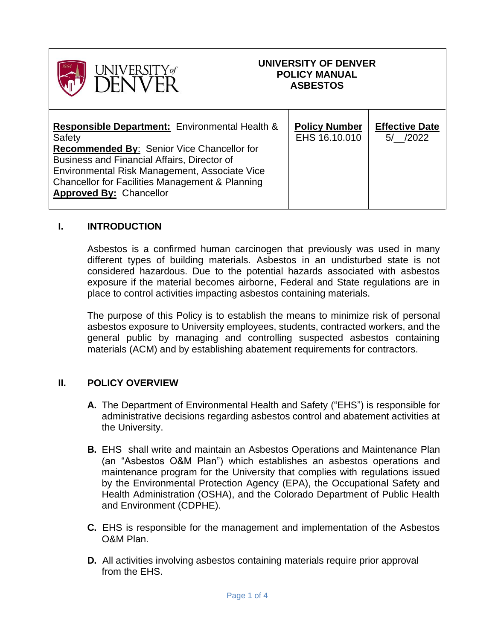| Y of<br>VERNIL |  |
|----------------|--|
|----------------|--|

#### **UNIVERSITY OF DENVER POLICY MANUAL ASBESTOS**

#### **I. INTRODUCTION**

Asbestos is a confirmed human carcinogen that previously was used in many different types of building materials. Asbestos in an undisturbed state is not considered hazardous. Due to the potential hazards associated with asbestos exposure if the material becomes airborne, Federal and State regulations are in place to control activities impacting asbestos containing materials.

The purpose of this Policy is to establish the means to minimize risk of personal asbestos exposure to University employees, students, contracted workers, and the general public by managing and controlling suspected asbestos containing materials (ACM) and by establishing abatement requirements for contractors.

#### **II. POLICY OVERVIEW**

- **A.** The Department of Environmental Health and Safety ("EHS") is responsible for administrative decisions regarding asbestos control and abatement activities at the University.
- **B.** EHS shall write and maintain an Asbestos Operations and Maintenance Plan (an "Asbestos O&M Plan") which establishes an asbestos operations and maintenance program for the University that complies with regulations issued by the Environmental Protection Agency (EPA), the Occupational Safety and Health Administration (OSHA), and the Colorado Department of Public Health and Environment (CDPHE).
- **C.** EHS is responsible for the management and implementation of the Asbestos O&M Plan.
- **D.** All activities involving asbestos containing materials require prior approval from the EHS.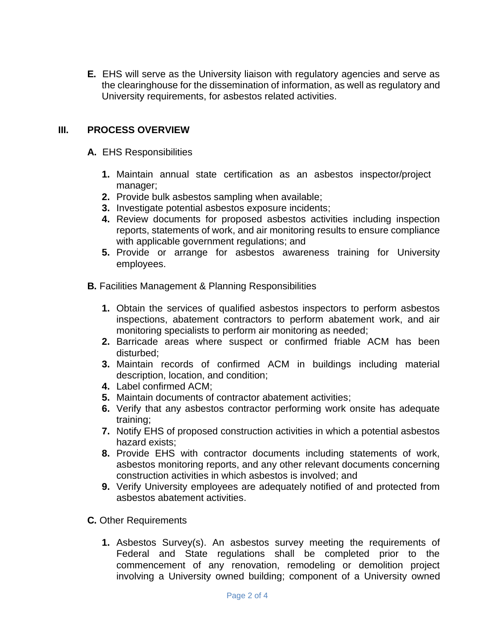**E.** EHS will serve as the University liaison with regulatory agencies and serve as the clearinghouse for the dissemination of information, as well as regulatory and University requirements, for asbestos related activities.

## **III. PROCESS OVERVIEW**

- **A.** EHS Responsibilities
	- **1.** Maintain annual state certification as an asbestos inspector/project manager;
	- **2.** Provide bulk asbestos sampling when available;
	- **3.** Investigate potential asbestos exposure incidents;
	- **4.** Review documents for proposed asbestos activities including inspection reports, statements of work, and air monitoring results to ensure compliance with applicable government regulations; and
	- **5.** Provide or arrange for asbestos awareness training for University employees.
- **B.** Facilities Management & Planning Responsibilities
	- **1.** Obtain the services of qualified asbestos inspectors to perform asbestos inspections, abatement contractors to perform abatement work, and air monitoring specialists to perform air monitoring as needed;
	- **2.** Barricade areas where suspect or confirmed friable ACM has been disturbed;
	- **3.** Maintain records of confirmed ACM in buildings including material description, location, and condition;
	- **4.** Label confirmed ACM;
	- **5.** Maintain documents of contractor abatement activities;
	- **6.** Verify that any asbestos contractor performing work onsite has adequate training;
	- **7.** Notify EHS of proposed construction activities in which a potential asbestos hazard exists;
	- **8.** Provide EHS with contractor documents including statements of work, asbestos monitoring reports, and any other relevant documents concerning construction activities in which asbestos is involved; and
	- **9.** Verify University employees are adequately notified of and protected from asbestos abatement activities.
- **C.** Other Requirements
	- **1.** Asbestos Survey(s). An asbestos survey meeting the requirements of Federal and State regulations shall be completed prior to the commencement of any renovation, remodeling or demolition project involving a University owned building; component of a University owned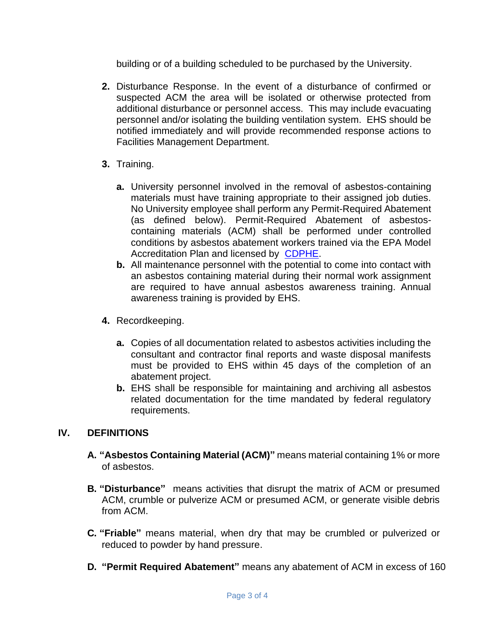building or of a building scheduled to be purchased by the University.

- **2.** Disturbance Response. In the event of a disturbance of confirmed or suspected ACM the area will be isolated or otherwise protected from additional disturbance or personnel access. This may include evacuating personnel and/or isolating the building ventilation system. EHS should be notified immediately and will provide recommended response actions to Facilities Management Department.
- **3.** Training.
	- **a.** University personnel involved in the removal of asbestos-containing materials must have training appropriate to their assigned job duties. No University employee shall perform any Permit-Required Abatement (as defined below). Permit-Required Abatement of asbestoscontaining materials (ACM) shall be performed under controlled conditions by asbestos abatement workers trained via the EPA Model Accreditation Plan and licensed by [CDPHE.](https://cdphe.colorado.gov/aqcc-regulations)
	- **b.** All maintenance personnel with the potential to come into contact with an asbestos containing material during their normal work assignment are required to have annual asbestos awareness training. Annual awareness training is provided by EHS.
- **4.** Recordkeeping.
	- **a.** Copies of all documentation related to asbestos activities including the consultant and contractor final reports and waste disposal manifests must be provided to EHS within 45 days of the completion of an abatement project.
	- **b.** EHS shall be responsible for maintaining and archiving all asbestos related documentation for the time mandated by federal regulatory requirements.

## **IV. DEFINITIONS**

- **A. "Asbestos Containing Material (ACM)"** means material containing 1% or more of asbestos.
- **B. "Disturbance"** means activities that disrupt the matrix of ACM or presumed ACM, crumble or pulverize ACM or presumed ACM, or generate visible debris from ACM.
- **C. "Friable"** means material, when dry that may be crumbled or pulverized or reduced to powder by hand pressure.
- **D. "Permit Required Abatement"** means any abatement of ACM in excess of 160